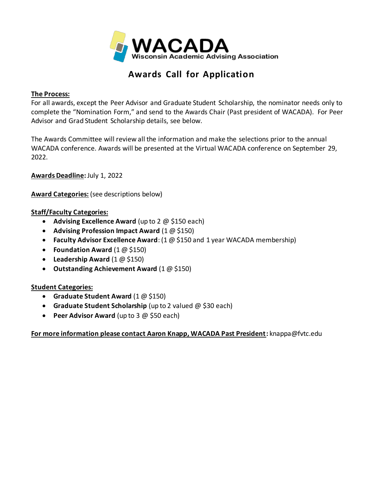

# **Awards Call for Application**

### **The Process:**

For all awards, except the Peer Advisor and Graduate Student Scholarship, the nominator needs only to complete the "Nomination Form," and send to the Awards Chair (Past president of WACADA). For Peer Advisor and Grad Student Scholarship details, see below.

The Awards Committee will review all the information and make the selections prior to the annual WACADA conference. Awards will be presented at the Virtual WACADA conference on September 29, 2022.

**Awards Deadline:** July 1, 2022

**Award Categories:** (see descriptions below)

### **Staff/Faculty Categories:**

- **Advising Excellence Award** (up to 2 @ \$150 each)
- **Advising Profession Impact Award** (1 @ \$150)
- **Faculty Advisor Excellence Award**: (1 @ \$150 and 1 year WACADA membership)
- **Foundation Award** (1 @ \$150)
- **Leadership Award** (1 @ \$150)
- **Outstanding Achievement Award** (1 @ \$150)

#### **Student Categories:**

- **Graduate Student Award** (1 @ \$150)
- **Graduate Student Scholarship** (up to 2 valued @ \$30 each)
- **Peer Advisor Award** (up to 3 @ \$50 each)

#### **For more information please contact Aaron Knapp, WACADA Past President:** knappa@fvtc.edu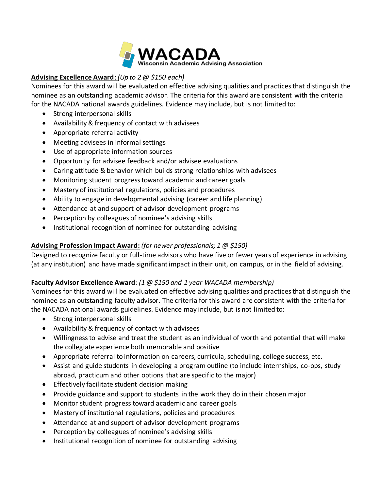

# **Advising Excellence Award**: *(Up to 2 @ \$150 each)*

Nominees for this award will be evaluated on effective advising qualities and practices that distinguish the nominee as an outstanding academic advisor. The criteria for this award are consistent with the criteria for the NACADA national awards guidelines. Evidence may include, but is not limited to:

- Strong interpersonal skills
- Availability & frequency of contact with advisees
- Appropriate referral activity
- Meeting advisees in informal settings
- Use of appropriate information sources
- Opportunity for advisee feedback and/or advisee evaluations
- Caring attitude & behavior which builds strong relationships with advisees
- Monitoring student progress toward academic and career goals
- Mastery of institutional regulations, policies and procedures
- Ability to engage in developmental advising (career and life planning)
- Attendance at and support of advisor development programs
- Perception by colleagues of nominee's advising skills
- Institutional recognition of nominee for outstanding advising

# **Advising Profession Impact Award:** *(for newer professionals; 1 @ \$150)*

Designed to recognize faculty or full-time advisors who have five or fewer years of experience in advising (at any institution) and have made significant impact in their unit, on campus, or in the field of advising.

# **Faculty Advisor Excellence Award**: *(1 @ \$150 and 1 year WACADA membership)*

Nominees for this award will be evaluated on effective advising qualities and practices that distinguish the nominee as an outstanding faculty advisor. The criteria for this award are consistent with the criteria for the NACADA national awards guidelines. Evidence may include, but is not limited to:

- Strong interpersonal skills
- Availability & frequency of contact with advisees
- Willingness to advise and treat the student as an individual of worth and potential that will make the collegiate experience both memorable and positive
- Appropriate referral to information on careers, curricula, scheduling, college success, etc.
- Assist and guide students in developing a program outline (to include internships, co-ops, study abroad, practicum and other options that are specific to the major)
- Effectively facilitate student decision making
- Provide guidance and support to students in the work they do in their chosen major
- Monitor student progress toward academic and career goals
- Mastery of institutional regulations, policies and procedures
- Attendance at and support of advisor development programs
- Perception by colleagues of nominee's advising skills
- Institutional recognition of nominee for outstanding advising